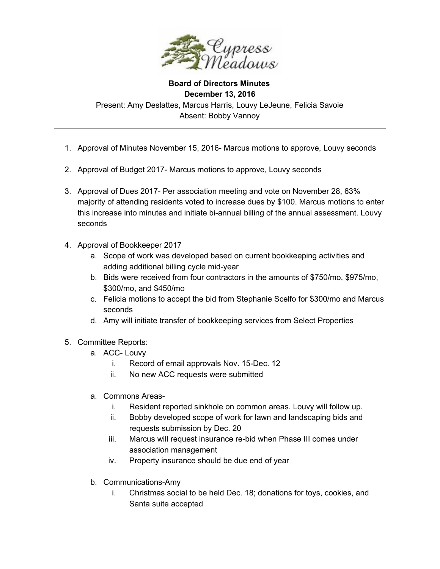

**Board of Directors Minutes December 13, 2016** Present: Amy Deslattes, Marcus Harris, Louvy LeJeune, Felicia Savoie Absent: Bobby Vannoy

- 1. Approval of Minutes November 15, 2016- Marcus motions to approve, Louvy seconds
- 2. Approval of Budget 2017- Marcus motions to approve, Louvy seconds
- 3. Approval of Dues 2017- Per association meeting and vote on November 28, 63% majority of attending residents voted to increase dues by \$100. Marcus motions to enter this increase into minutes and initiate bi-annual billing of the annual assessment. Louvy seconds
- 4. Approval of Bookkeeper 2017
	- a. Scope of work was developed based on current bookkeeping activities and adding additional billing cycle mid-year
	- b. Bids were received from four contractors in the amounts of \$750/mo, \$975/mo, \$300/mo, and \$450/mo
	- c. Felicia motions to accept the bid from Stephanie Scelfo for \$300/mo and Marcus seconds
	- d. Amy will initiate transfer of bookkeeping services from Select Properties
- 5. Committee Reports:
	- a. ACC- Louvy
		- i. Record of email approvals Nov. 15-Dec. 12
		- ii. No new ACC requests were submitted
	- a. Commons Areas
		- i. Resident reported sinkhole on common areas. Louvy will follow up.
		- ii. Bobby developed scope of work for lawn and landscaping bids and requests submission by Dec. 20
		- iii. Marcus will request insurance re-bid when Phase III comes under association management
		- iv. Property insurance should be due end of year
	- b. Communications-Amy
		- i. Christmas social to be held Dec. 18; donations for toys, cookies, and Santa suite accepted